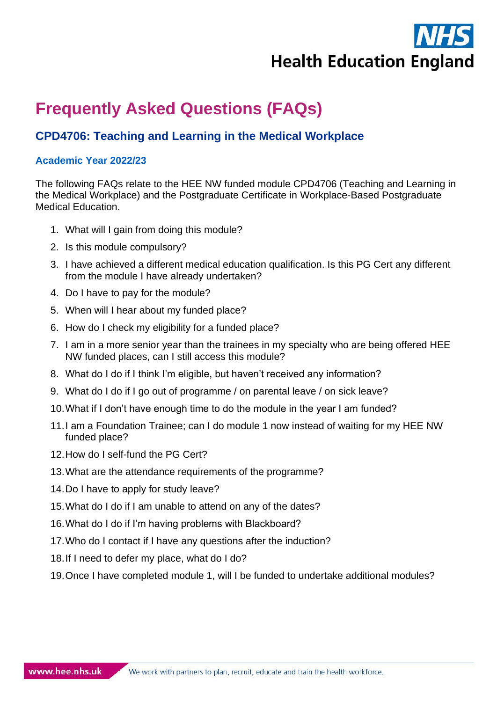**Health Education England** 

# **Frequently Asked Questions (FAQs)**

# **CPD4706: Teaching and Learning in the Medical Workplace**

#### **Academic Year 2022/23**

The following FAQs relate to the HEE NW funded module CPD4706 (Teaching and Learning in the Medical Workplace) and the Postgraduate Certificate in Workplace-Based Postgraduate Medical Education.

- 1. What will I gain from doing this module?
- 2. Is this module compulsory?
- 3. I have achieved a different medical education qualification. Is this PG Cert any different from the module I have already undertaken?
- 4. Do I have to pay for the module?
- 5. When will I hear about my funded place?
- 6. How do I check my eligibility for a funded place?
- 7. I am in a more senior year than the trainees in my specialty who are being offered HEE NW funded places, can I still access this module?
- 8. What do I do if I think I'm eligible, but haven't received any information?
- 9. What do I do if I go out of programme / on parental leave / on sick leave?
- 10.What if I don't have enough time to do the module in the year I am funded?
- 11.I am a Foundation Trainee; can I do module 1 now instead of waiting for my HEE NW funded place?
- 12.How do I self-fund the PG Cert?
- 13.What are the attendance requirements of the programme?
- 14.Do I have to apply for study leave?
- 15.What do I do if I am unable to attend on any of the dates?
- 16.What do I do if I'm having problems with Blackboard?
- 17.Who do I contact if I have any questions after the induction?
- 18.If I need to defer my place, what do I do?
- 19.Once I have completed module 1, will I be funded to undertake additional modules?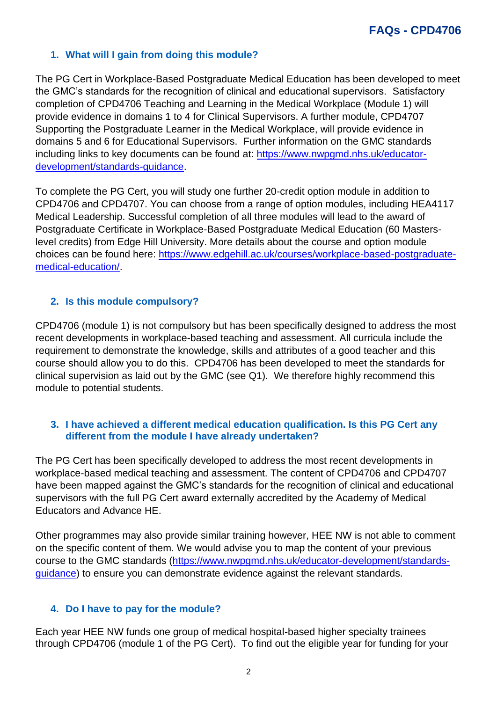# **1. What will I gain from doing this module?**

The PG Cert in Workplace-Based Postgraduate Medical Education has been developed to meet the GMC's standards for the recognition of clinical and educational supervisors. Satisfactory completion of CPD4706 Teaching and Learning in the Medical Workplace (Module 1) will provide evidence in domains 1 to 4 for Clinical Supervisors. A further module, CPD4707 Supporting the Postgraduate Learner in the Medical Workplace, will provide evidence in domains 5 and 6 for Educational Supervisors. Further information on the GMC standards including links to key documents can be found at: [https://www.nwpgmd.nhs.uk/educator](https://www.nwpgmd.nhs.uk/educator-development/standards-guidance)[development/standards-guidance.](https://www.nwpgmd.nhs.uk/educator-development/standards-guidance)

To complete the PG Cert, you will study one further 20-credit option module in addition to CPD4706 and CPD4707. You can choose from a range of option modules, including HEA4117 Medical Leadership. Successful completion of all three modules will lead to the award of Postgraduate Certificate in Workplace-Based Postgraduate Medical Education (60 Masterslevel credits) from Edge Hill University. More details about the course and option module choices can be found here: [https://www.edgehill.ac.uk/courses/workplace-based-postgraduate](https://www.edgehill.ac.uk/courses/workplace-based-postgraduate-medical-education/)[medical-education/.](https://www.edgehill.ac.uk/courses/workplace-based-postgraduate-medical-education/)

# **2. Is this module compulsory?**

CPD4706 (module 1) is not compulsory but has been specifically designed to address the most recent developments in workplace-based teaching and assessment. All curricula include the requirement to demonstrate the knowledge, skills and attributes of a good teacher and this course should allow you to do this. CPD4706 has been developed to meet the standards for clinical supervision as laid out by the GMC (see Q1). We therefore highly recommend this module to potential students.

#### **3. I have achieved a different medical education qualification. Is this PG Cert any different from the module I have already undertaken?**

The PG Cert has been specifically developed to address the most recent developments in workplace-based medical teaching and assessment. The content of CPD4706 and CPD4707 have been mapped against the GMC's standards for the recognition of clinical and educational supervisors with the full PG Cert award externally accredited by the Academy of Medical Educators and Advance HE.

Other programmes may also provide similar training however, HEE NW is not able to comment on the specific content of them. We would advise you to map the content of your previous course to the GMC standards [\(https://www.nwpgmd.nhs.uk/educator-development/standards](https://www.nwpgmd.nhs.uk/educator-development/standards-guidance)[guidance\)](https://www.nwpgmd.nhs.uk/educator-development/standards-guidance) to ensure you can demonstrate evidence against the relevant standards.

# **4. Do I have to pay for the module?**

Each year HEE NW funds one group of medical hospital-based higher specialty trainees through CPD4706 (module 1 of the PG Cert). To find out the eligible year for funding for your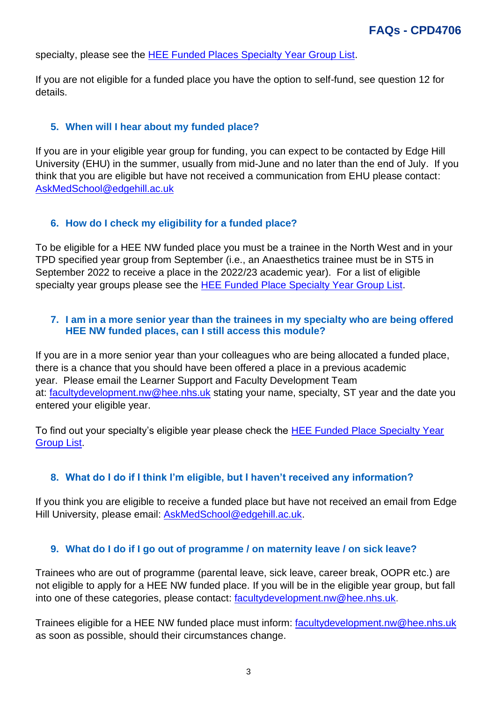specialty, please see the [HEE Funded Places Specialty Year Group List.](https://nwpgmd.nhs.uk/sites/default/files/Specialty%20Year%20Group%20List%202022-23%20FINAL.pdf)

If you are not eligible for a funded place you have the option to self-fund, see question 12 for details.

#### **5. When will I hear about my funded place?**

If you are in your eligible year group for funding, you can expect to be contacted by Edge Hill University (EHU) in the summer, usually from mid-June and no later than the end of July. If you think that you are eligible but have not received a communication from EHU please contact: [AskMedSchool@edgehill.ac.uk](mailto:AskMedSchool@edgehill.ac.uk)

#### **6. How do I check my eligibility for a funded place?**

To be eligible for a HEE NW funded place you must be a trainee in the North West and in your TPD specified year group from September (i.e., an Anaesthetics trainee must be in ST5 in September 2022 to receive a place in the 2022/23 academic year). For a list of eligible specialty year groups please see the [HEE Funded Place Specialty Year Group List.](https://nwpgmd.nhs.uk/sites/default/files/Specialty%20Year%20Group%20List%202022-23%20FINAL.pdf)

#### **7. I am in a more senior year than the trainees in my specialty who are being offered HEE NW funded places, can I still access this module?**

If you are in a more senior year than your colleagues who are being allocated a funded place, there is a chance that you should have been offered a place in a previous academic year. Please email the Learner Support and Faculty Development Team at: [facultydevelopment.nw@hee.nhs.uk](mailto:facultydevelopment.nw@hee.nhs.uk) stating your name, specialty, ST year and the date you entered your eligible year.

To find out your specialty's eligible year please check the [HEE Funded Place Specialty Year](https://nwpgmd.nhs.uk/sites/default/files/Specialty%20Year%20Group%20List%202022-23%20FINAL.pdf)  [Group List.](https://nwpgmd.nhs.uk/sites/default/files/Specialty%20Year%20Group%20List%202022-23%20FINAL.pdf)

#### **8. What do I do if I think I'm eligible, but I haven't received any information?**

If you think you are eligible to receive a funded place but have not received an email from Edge Hill University, please email: **[AskMedSchool@edgehill.ac.uk.](mailto:AskMedSchool@edgehill.ac.uk)** 

#### **9. What do I do if I go out of programme / on maternity leave / on sick leave?**

Trainees who are out of programme (parental leave, sick leave, career break, OOPR etc.) are not eligible to apply for a HEE NW funded place. If you will be in the eligible year group, but fall into one of these categories, please contact: [facultydevelopment.nw@hee.nhs.uk.](mailto:facultydevelopment.nw@hee.nhs.uk)

Trainees eligible for a HEE NW funded place must inform: [facultydevelopment.nw@hee.nhs.uk](mailto:facultydevelopment.nw@hee.nhs.uk) as soon as possible, should their circumstances change.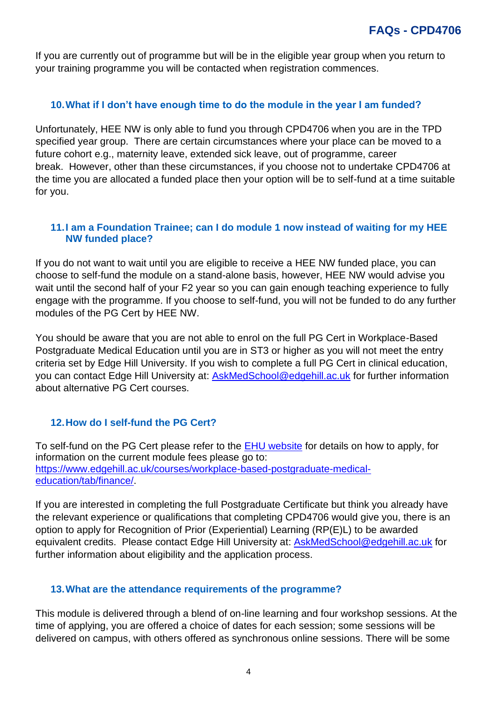If you are currently out of programme but will be in the eligible year group when you return to your training programme you will be contacted when registration commences.

#### **10.What if I don't have enough time to do the module in the year I am funded?**

Unfortunately, HEE NW is only able to fund you through CPD4706 when you are in the TPD specified year group. There are certain circumstances where your place can be moved to a future cohort e.g., maternity leave, extended sick leave, out of programme, career break. However, other than these circumstances, if you choose not to undertake CPD4706 at the time you are allocated a funded place then your option will be to self-fund at a time suitable for you.

#### **11.I am a Foundation Trainee; can I do module 1 now instead of waiting for my HEE NW funded place?**

If you do not want to wait until you are eligible to receive a HEE NW funded place, you can choose to self-fund the module on a stand-alone basis, however, HEE NW would advise you wait until the second half of your F2 year so you can gain enough teaching experience to fully engage with the programme. If you choose to self-fund, you will not be funded to do any further modules of the PG Cert by HEE NW.

You should be aware that you are not able to enrol on the full PG Cert in Workplace-Based Postgraduate Medical Education until you are in ST3 or higher as you will not meet the entry criteria set by Edge Hill University. If you wish to complete a full PG Cert in clinical education, you can contact Edge Hill University at: [AskMedSchool@edgehill.ac.uk](mailto:AskMedSchool@edgehill.ac.uk) for further information about alternative PG Cert courses.

# **12.How do I self-fund the PG Cert?**

To self-fund on the PG Cert please refer to the [EHU website](https://www.edgehill.ac.uk/courses/workplace-based-postgraduate-medical-education/) for details on how to apply, for information on the current module fees please go to: [https://www.edgehill.ac.uk/courses/workplace-based-postgraduate-medical](https://protect-eu.mimecast.com/s/ySPBC9DP6szPm5rfo3pvK?domain=edgehill.ac.uk/)[education/tab/finance/.](https://protect-eu.mimecast.com/s/ySPBC9DP6szPm5rfo3pvK?domain=edgehill.ac.uk/)

If you are interested in completing the full Postgraduate Certificate but think you already have the relevant experience or qualifications that completing CPD4706 would give you, there is an option to apply for Recognition of Prior (Experiential) Learning (RP(E)L) to be awarded equivalent credits. Please contact Edge Hill University at: [AskMedSchool@edgehill.ac.uk](mailto:AskMedSchool@edgehill.ac.uk) for further information about eligibility and the application process.

#### **13.What are the attendance requirements of the programme?**

This module is delivered through a blend of on-line learning and four workshop sessions. At the time of applying, you are offered a choice of dates for each session; some sessions will be delivered on campus, with others offered as synchronous online sessions. There will be some